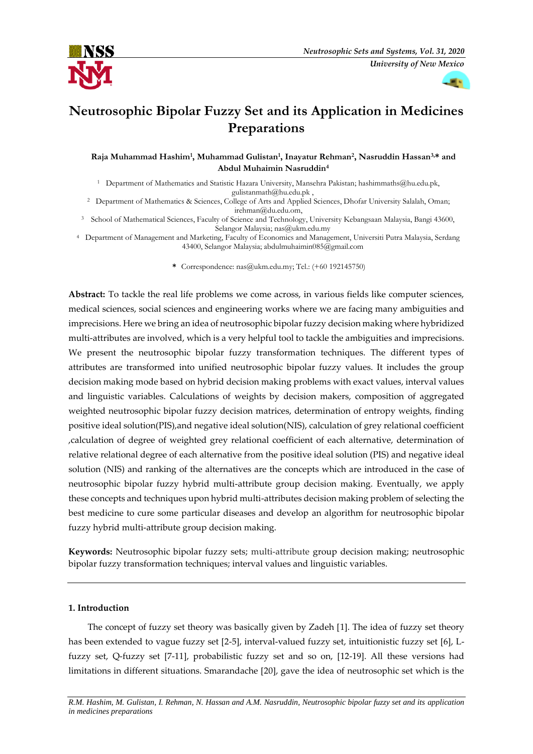



# **Neutrosophic Bipolar Fuzzy Set and its Application in Medicines Preparations**

**Raja Muhammad Hashim<sup>1</sup> , Muhammad Gulistan<sup>1</sup> , Inayatur Rehman<sup>2</sup> , Nasruddin Hassan3,\* and Abdul Muhaimin Nasruddin<sup>4</sup>**

<sup>1</sup> Department of Mathematics and Statistic Hazara University, Mansehra Pakistan; [hashimmaths@hu.edu.pk,](mailto:hashimmaths@hu.edu.pk) [gulistanmath@hu.edu.pk](mailto:gulistanmath@hu.edu.pk) ,

<sup>2</sup> Department of Mathematics & Sciences, College of Arts and Applied Sciences, Dhofar University Salalah, Oman; [irehman@du.edu.om,](mailto:irehman@du.edu.om)

<sup>3</sup> School of Mathematical Sciences, Faculty of Science and Technology, University Kebangsaan Malaysia, Bangi 43600, Selangor Malaysia; [nas@ukm.edu.my](mailto:nas@ukm.edu.my)

<sup>4</sup> Department of Management and Marketing, Faculty of Economics and Management, Universiti Putra Malaysia, Serdang 43400, Selangor Malaysia; [abdulmuhaimin085@gmail.com](mailto:abdulmuhaimin085@gmail.com)

**\*** Correspondence: nas@ukm.edu.my; Tel.: (+60 192145750)

**Abstract:** To tackle the real life problems we come across, in various fields like computer sciences, medical sciences, social sciences and engineering works where we are facing many ambiguities and imprecisions. Here we bring an idea of neutrosophic bipolar fuzzy decision making where hybridized multi-attributes are involved, which is a very helpful tool to tackle the ambiguities and imprecisions. We present the neutrosophic bipolar fuzzy transformation techniques. The different types of attributes are transformed into unified neutrosophic bipolar fuzzy values. It includes the group decision making mode based on hybrid decision making problems with exact values, interval values and linguistic variables. Calculations of weights by decision makers, composition of aggregated weighted neutrosophic bipolar fuzzy decision matrices, determination of entropy weights, finding positive ideal solution(PIS),and negative ideal solution(NIS), calculation of grey relational coefficient ,calculation of degree of weighted grey relational coefficient of each alternative, determination of relative relational degree of each alternative from the positive ideal solution (PIS) and negative ideal solution (NIS) and ranking of the alternatives are the concepts which are introduced in the case of neutrosophic bipolar fuzzy hybrid multi-attribute group decision making. Eventually, we apply these concepts and techniques upon hybrid multi-attributes decision making problem of selecting the best medicine to cure some particular diseases and develop an algorithm for neutrosophic bipolar fuzzy hybrid multi-attribute group decision making.

**Keywords:** Neutrosophic bipolar fuzzy sets; multi-attribute group decision making; neutrosophic bipolar fuzzy transformation techniques; interval values and linguistic variables.

# **1. Introduction**

The concept of fuzzy set theory was basically given by Zadeh [1]. The idea of fuzzy set theory has been extended to vague fuzzy set [2-5], interval-valued fuzzy set, intuitionistic fuzzy set [6], Lfuzzy set, Q-fuzzy set [7-11], probabilistic fuzzy set and so on, [12-19]. All these versions had limitations in different situations. Smarandache [20], gave the idea of neutrosophic set which is the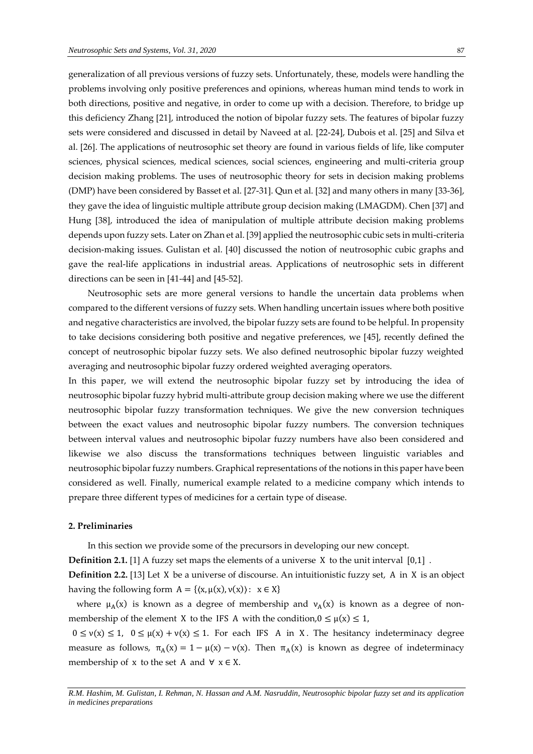generalization of all previous versions of fuzzy sets. Unfortunately, these, models were handling the problems involving only positive preferences and opinions, whereas human mind tends to work in both directions, positive and negative, in order to come up with a decision. Therefore, to bridge up this deficiency Zhang [21], introduced the notion of bipolar fuzzy sets. The features of bipolar fuzzy sets were considered and discussed in detail by Naveed at al. [22-24], Dubois et al. [25] and Silva et al. [26]. The applications of neutrosophic set theory are found in various fields of life, like computer sciences, physical sciences, medical sciences, social sciences, engineering and multi-criteria group decision making problems. The uses of neutrosophic theory for sets in decision making problems (DMP) have been considered by Basset et al. [27-31]. Qun et al. [32] and many others in many [33-36], they gave the idea of linguistic multiple attribute group decision making (LMAGDM). Chen [37] and Hung [38], introduced the idea of manipulation of multiple attribute decision making problems depends upon fuzzy sets. Later on Zhan et al. [39] applied the neutrosophic cubic sets in multi-criteria decision-making issues. Gulistan et al. [40] discussed the notion of neutrosophic cubic graphs and gave the real-life applications in industrial areas. Applications of neutrosophic sets in different directions can be seen in [41-44] and [45-52].

Neutrosophic sets are more general versions to handle the uncertain data problems when compared to the different versions of fuzzy sets. When handling uncertain issues where both positive and negative characteristics are involved, the bipolar fuzzy sets are found to be helpful. In propensity to take decisions considering both positive and negative preferences, we [45], recently defined the concept of neutrosophic bipolar fuzzy sets. We also defined neutrosophic bipolar fuzzy weighted averaging and neutrosophic bipolar fuzzy ordered weighted averaging operators.

In this paper, we will extend the neutrosophic bipolar fuzzy set by introducing the idea of neutrosophic bipolar fuzzy hybrid multi-attribute group decision making where we use the different neutrosophic bipolar fuzzy transformation techniques. We give the new conversion techniques between the exact values and neutrosophic bipolar fuzzy numbers. The conversion techniques between interval values and neutrosophic bipolar fuzzy numbers have also been considered and likewise we also discuss the transformations techniques between linguistic variables and neutrosophic bipolar fuzzy numbers. Graphical representations of the notions in this paper have been considered as well. Finally, numerical example related to a medicine company which intends to prepare three different types of medicines for a certain type of disease.

# **2. Preliminaries**

In this section we provide some of the precursors in developing our new concept.

**Definition 2.1.** [1] A fuzzy set maps the elements of a universe X to the unit interval [0,1] .

**Definition 2.2.** [13] Let X be a universe of discourse. An intuitionistic fuzzy set, A in X is an object having the following form  $A = \{(x, \mu(x), v(x)) : x \in X\}$ 

where  $\mu_A(x)$  is known as a degree of membership and  $\nu_A(x)$  is known as a degree of nonmembership of the element X to the IFS A with the condition,  $0 \le \mu(x) \le 1$ ,

 $0 \le v(x) \le 1$ ,  $0 \le \mu(x) + v(x) \le 1$ . For each IFS A in X. The hesitancy indeterminacy degree measure as follows,  $\pi_A(x) = 1 - \mu(x) - \nu(x)$ . Then  $\pi_A(x)$  is known as degree of indeterminacy membership of x to the set A and  $\forall$   $x \in X$ .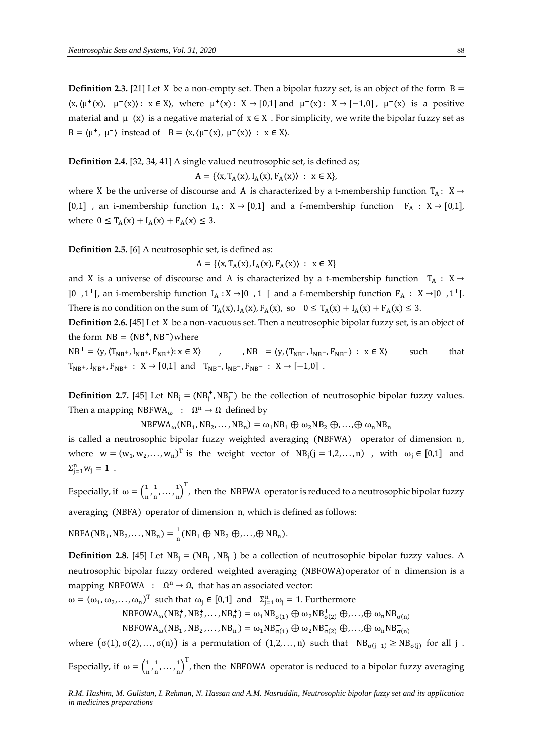**Definition 2.3.** [21] Let X be a non-empty set. Then a bipolar fuzzy set, is an object of the form  $B =$  $\langle x, \langle \mu^+(x), \mu^-(x) \rangle : x \in X \rangle$ , where  $\mu^+(x) : X \to [0,1]$  and  $\mu^-(x) : X \to [-1,0]$ ,  $\mu^+(x)$  is a positive material and  $\mu^-(x)$  is a negative material of  $x \in X$ . For simplicity, we write the bipolar fuzzy set as B =  $\langle \mu^+, \mu^- \rangle$  instead of B =  $\langle x, \mu^+(x), \mu^-(x) \rangle : x \in X$ .

**Definition 2.4.** [32, 34, 41] A single valued neutrosophic set, is defined as;

 $A = \{ (x, T_A(x), I_A(x), F_A(x)) : x \in X \},\$ 

where X be the universe of discourse and A is characterized by a t-membership function  $T_A: X \rightarrow$ [0,1] , an i-membership function  $I_A: X \rightarrow [0,1]$  and a f-membership function  $F_A: X \rightarrow [0,1]$ , where  $0 \le T_A(x) + I_A(x) + F_A(x) \le 3$ .

## **Definition 2.5.** [6] A neutrosophic set, is defined as:

 $A = \{ \langle x, T_A(x), I_A(x), F_A(x) \rangle : x \in X \}$ 

and X is a universe of discourse and A is characterized by a t-membership function  $T_A : X \rightarrow$ ]0<sup>-</sup>, 1<sup>+</sup>[, an i-membership function  $I_A : X \rightarrow] 0^-$ , 1<sup>+</sup>[ and a f-membership function  $F_A : X \rightarrow] 0^-$ , 1<sup>+</sup>[. There is no condition on the sum of  $T_A(x)$ ,  $I_A(x)$ ,  $F_A(x)$ , so  $0 \le T_A(x) + I_A(x) + F_A(x) \le 3$ .

**Definition 2.6.** [45] Let X be a non-vacuous set. Then a neutrosophic bipolar fuzzy set, is an object of the form  $NB = (NB^+, NB^-)$  where

 $NB^+ = \langle y, \langle T_{NB^+}, I_{NB^+}, F_{NB} \rangle$ + $\rangle: x \in X$  , , NB<sup>-</sup> =  $\langle y, (T_{NB^-}, I_{NB^-}, F_{NB^-}) : x \in X \rangle$  such that  $T_{NB^+}$ ,  $I_{NB^+}$ ,  $F_{NB^+}$  :  $X \rightarrow [0,1]$  and  $T_{NB^-}$ ,  $I_{NB^-}$ ,  $F_{NB^-}$  :  $X \rightarrow [-1,0]$ .

**Definition 2.7.** [45] Let  $NB_j = (NB_j^+, NB_j^-)$  be the collection of neutrosophic bipolar fuzzy values. Then a mapping  $NBFWA_{\omega} : \Omega^n \to \Omega$  defined by

 $NBFWA_{\omega}(NB_1, NB_2, \dots, NB_n) = \omega_1 NB_1 \oplus \omega_2 NB_2 \oplus \dots \oplus \omega_n NB_n$ 

is called a neutrosophic bipolar fuzzy weighted averaging (NBFWA) operator of dimension n, where  $w = (w_1, w_2, ..., w_n)^T$  is the weight vector of  $NB_j(j = 1,2,...,n)$  , with  $\omega_j \in [0,1]$  and  $\Sigma_{j=1}^{n} w_j = 1$ .

Especially, if  $\omega = \left(\frac{1}{n}\right)$  $\frac{1}{n}, \frac{1}{n}$  $\frac{1}{n}, \ldots, \frac{1}{n}$  $\frac{1}{n}$ )<sup>T</sup>, then the NBFWA operator is reduced to a neutrosophic bipolar fuzzy

averaging (NBFA) operator of dimension n, which is defined as follows:

 $NBFA(NB_1, NB_2, ..., NB_n) = \frac{1}{n}$  $\frac{1}{n}$ (NB<sub>1</sub>  $\oplus$  NB<sub>2</sub>  $\oplus$ ,..., $\oplus$  NB<sub>n</sub>).

**Definition 2.8.** [45] Let  $NB_j = (NB_j^+, NB_j^-)$  be a collection of neutrosophic bipolar fuzzy values. A neutrosophic bipolar fuzzy ordered weighted averaging (NBFOWA)operator of n dimension is a mapping NBFOWA :  $\Omega^n \to \Omega$ , that has an associated vector:

 $\omega = (\omega_1, \omega_2, ..., \omega_n)^T$  such that  $\omega_j \in [0,1]$  and  $\Sigma_{j=1}^n \omega_j = 1$ . Furthermore

 $NBFOWA_{\omega}(NB_1^+,NB_2^+,...,NB_n^+) = \omega_1NB_{\sigma(1)}^+ \oplus \omega_2NB_{\sigma(2)}^+ \oplus ... \oplus \omega_nNB_{\sigma(n)}^+$ 

 $NBFOWA_{\omega}(NB_1^-, NB_2^-, \dots, NB_n^-) = \omega_1NB_{\sigma(1)}^- \oplus \omega_2NB_{\sigma(2)}^- \oplus \dots \oplus \omega_nNB_{\sigma(n)}^-$ 

where  $(σ(1), σ(2), …, σ(n))$  is a permutation of  $(1,2, …, n)$  such that  $NB<sub>σ(j-1)</sub> ≥ NB<sub>σ(j)</sub>$  for all j. Especially, if  $\omega = \left(\frac{1}{n}\right)$  $\frac{1}{n}, \frac{1}{n}$  $\frac{1}{n}, \ldots, \frac{1}{n}$  $\frac{1}{n}$ )<sup>T</sup>, then the NBFOWA operator is reduced to a bipolar fuzzy averaging

*R.M. Hashim, M. Gulistan, I. Rehman, N. Hassan and A.M. Nasruddin, Neutrosophic bipolar fuzzy set and its application* 

*in medicines preparations*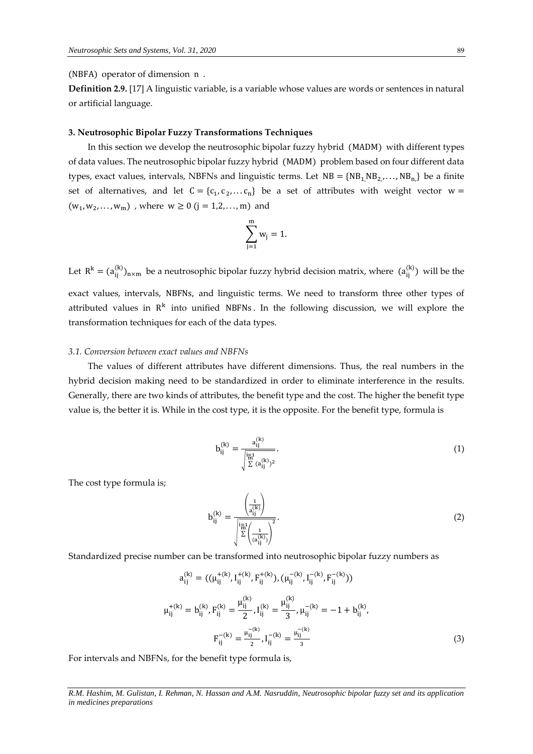(NBFA) operator of dimension n .

**Definition 2.9.** [17] A linguistic variable, is a variable whose values are words or sentences in natural or artificial language.

### **3. Neutrosophic Bipolar Fuzzy Transformations Techniques**

In this section we develop the neutrosophic bipolar fuzzy hybrid (MADM) with different types of data values. The neutrosophic bipolar fuzzy hybrid (MADM) problem based on four different data types, exact values, intervals, NBFNs and linguistic terms. Let  $NB = \{NB_1, NB_2, \ldots, NB_n\}$  be a finite set of alternatives, and let  $C = \{c_1, c_2, \dots c_n\}$  be a set of attributes with weight vector  $w =$  $(w_1, w_2, \dots, w_m)$ , where  $w \ge 0$  (j = 1,2, ..., m) and

$$
\sum_{j=1}^m w_j = 1.
$$

Let  $R^k = (a_{ij}^{(k)})_{n \times m}$  be a neutrosophic bipolar fuzzy hybrid decision matrix, where  $(a_{ij}^{(k)})$  will be the exact values, intervals, NBFNs, and linguistic terms. We need to transform three other types of attributed values in  $R^k$  into unified NBFNs. In the following discussion, we will explore the transformation techniques for each of the data types.

## *3.1. Conversion between exact values and NBFNs*

The values of different attributes have different dimensions. Thus, the real numbers in the hybrid decision making need to be standardized in order to eliminate interference in the results. Generally, there are two kinds of attributes, the benefit type and the cost. The higher the benefit type value is, the better it is. While in the cost type, it is the opposite. For the benefit type, formula is

$$
b_{ij}^{(k)} = \frac{a_{ij}^{(k)}}{\sqrt{\sum_{i=1}^{n} (a_{ij}^{(k)})^2}}.
$$
\n(1)

The cost type formula is;

$$
b_{ij}^{(k)} = \frac{\left(\frac{1}{a_{ij}^{(k)}}\right)}{\sqrt{\sum_{i=1}^{n-1} \left(\frac{1}{a_{ij}^{(k)}}\right)^2}}.
$$
\n(2)

Standardized precise number can be transformed into neutrosophic bipolar fuzzy numbers as

$$
a_{ij}^{(k)} = ((\mu_{ij}^{+(k)}, I_{ij}^{+(k)}, F_{ij}^{+(k)}), (\mu_{ij}^{-(k)}, I_{ij}^{-(k)}, F_{ij}^{-(k)}))
$$
  

$$
\mu_{ij}^{+(k)} = b_{ij}^{(k)}, F_{ij}^{(k)} = \frac{\mu_{ij}^{(k)}}{2}, I_{ij}^{(k)} = \frac{\mu_{ij}^{(k)}}{3}, \mu_{ij}^{-(k)} = -1 + b_{ij}^{(k)},
$$
  

$$
F_{ij}^{-(k)} = \frac{\mu_{ij}^{-(k)}}{2}, I_{ij}^{-(k)} = \frac{\mu_{ij}^{-(k)}}{3}
$$
(3)

For intervals and NBFNs, for the benefit type formula is,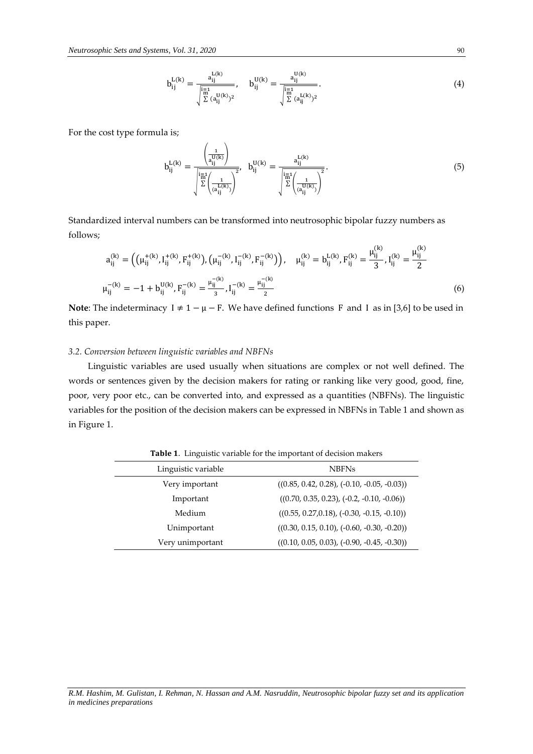$$
b_{ij}^{L(k)} = \frac{a_{ij}^{L(k)}}{\sqrt{\sum_{i=1}^{\overline{n}-1} (a_{ij}^{U(k)})^2}}, \quad b_{ij}^{U(k)} = \frac{a_{ij}^{U(k)}}{\sqrt{\sum_{i=1}^{\overline{n}-1} (a_{ij}^{L(k)})^2}}.
$$
\n(4)

For the cost type formula is;

$$
b_{ij}^{L(k)} = \frac{\left(\frac{1}{a_{ij}^{U(k)}}\right)}{\sqrt{\sum_{i=1}^{\left|\frac{1}{m}^{L}\right(\frac{1}{a_{ij}^{L(k)})}\right)^{2}}}, \quad b_{ij}^{U(k)} = \frac{a_{ij}^{L(k)}}{\sqrt{\sum_{i=1}^{\left|\frac{1}{m}^{L}\right(\frac{1}{a_{ij}^{U(k)})}\right)^{2}}}.
$$
\n(5)

 $\lambda$ 

 $\lambda$ 

Standardized interval numbers can be transformed into neutrosophic bipolar fuzzy numbers as follows;

$$
a_{ij}^{(k)} = \left( \left( \mu_{ij}^{+(k)}, I_{ij}^{+(k)}, F_{ij}^{+(k)} \right), \left( \mu_{ij}^{-(k)}, I_{ij}^{-(k)}, F_{ij}^{-(k)} \right) \right), \quad \mu_{ij}^{(k)} = b_{ij}^{L(k)}, F_{ij}^{(k)} = \frac{\mu_{ij}^{(k)}}{3}, I_{ij}^{(k)} = \frac{\mu_{ij}^{(k)}}{2}
$$
\n
$$
\mu_{ij}^{-(k)} = -1 + b_{ij}^{U(k)}, F_{ij}^{-(k)} = \frac{\mu_{ij}^{-(k)}}{3}, I_{ij}^{-(k)} = \frac{\mu_{ij}^{-(k)}}{2}
$$
\n(6)

**Note:** The indeterminacy I ≠ 1 −  $\mu$  − F. We have defined functions F and I as in [3,6] to be used in this paper.

## *3.2. Conversion between linguistic variables and NBFNs*

Linguistic variables are used usually when situations are complex or not well defined. The words or sentences given by the decision makers for rating or ranking like very good, good, fine, poor, very poor etc., can be converted into, and expressed as a quantities (NBFNs). The linguistic variables for the position of the decision makers can be expressed in NBFNs in Table 1 and shown as in Figure 1.

Table 1. Linguistic variable for the important of decision makers

| Linguistic variable | <b>NBFNs</b>                                  |
|---------------------|-----------------------------------------------|
| Very important      | $((0.85, 0.42, 0.28), (-0.10, -0.05, -0.03))$ |
| Important           | $((0.70, 0.35, 0.23), (-0.2, -0.10, -0.06))$  |
| Medium              | $((0.55, 0.27, 0.18), (-0.30, -0.15, -0.10))$ |
| Unimportant         | $((0.30, 0.15, 0.10), (-0.60, -0.30, -0.20))$ |
| Very unimportant    | $((0.10, 0.05, 0.03), (-0.90, -0.45, -0.30))$ |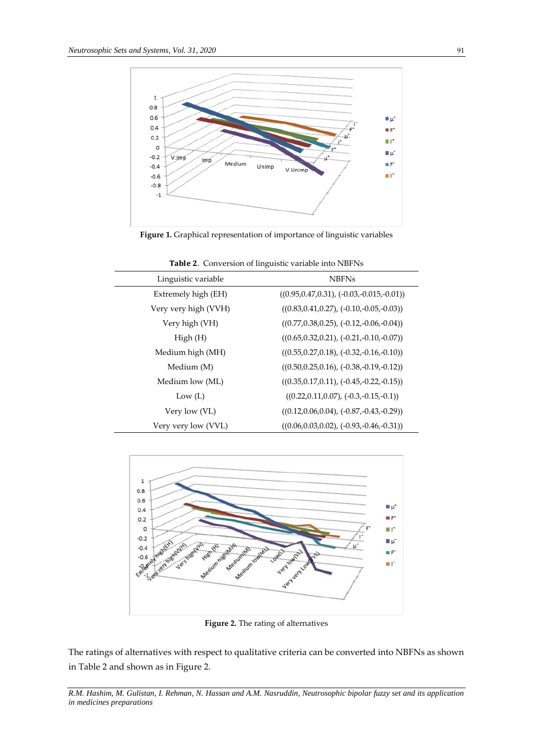

**Figure 1.** Graphical representation of importance of linguistic variables

| Linguistic variable  | <b>NBFNs</b>                                   |
|----------------------|------------------------------------------------|
| Extremely high (EH)  | $((0.95, 0.47, 0.31), (-0.03, -0.015, -0.01))$ |
| Very very high (VVH) | $((0.83, 0.41, 0.27), (-0.10, -0.05, -0.03))$  |
| Very high (VH)       | $((0.77, 0.38, 0.25), (-0.12, -0.06, -0.04))$  |
| High(H)              | $((0.65, 0.32, 0.21), (-0.21, -0.10, -0.07))$  |
| Medium high (MH)     | $((0.55, 0.27, 0.18), (-0.32, -0.16, -0.10))$  |
| Medium (M)           | $((0.50, 0.25, 0.16), (-0.38, -0.19, -0.12))$  |
| Medium low (ML)      | $((0.35, 0.17, 0.11), (-0.45, -0.22, -0.15))$  |
| Low $(L)$            | $((0.22, 0.11, 0.07), (-0.3, -0.15, -0.1))$    |
| Very low (VL)        | $((0.12, 0.06, 0.04), (-0.87, -0.43, -0.29))$  |
| Very very low (VVL)  | $((0.06, 0.03, 0.02), (-0.93, -0.46, -0.31))$  |

Table 2. Conversion of linguistic variable into NBFNs



**Figure 2.** The rating of alternatives

The ratings of alternatives with respect to qualitative criteria can be converted into NBFNs as shown in Table 2 and shown as in Figure 2.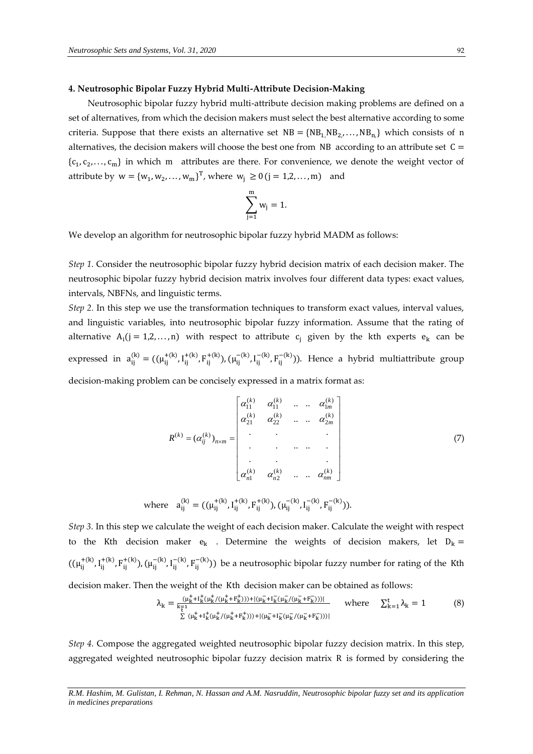#### **4. Neutrosophic Bipolar Fuzzy Hybrid Multi-Attribute Decision-Making**

Neutrosophic bipolar fuzzy hybrid multi-attribute decision making problems are defined on a set of alternatives, from which the decision makers must select the best alternative according to some criteria. Suppose that there exists an alternative set  $NB = \{NB_1, NB_2, \ldots, NB_n\}$  which consists of n alternatives, the decision makers will choose the best one from NB according to an attribute set  $C =$  ${c_1, c_2, ..., c_m}$  in which m attributes are there. For convenience, we denote the weight vector of attribute by  $w = \{w_1, w_2, ..., w_m\}^T$ , where  $w_j \ge 0$  (j = 1,2,..., m) and

$$
\sum_{j=1}^m w_j = 1.
$$

We develop an algorithm for neutrosophic bipolar fuzzy hybrid MADM as follows:

*Step 1.* Consider the neutrosophic bipolar fuzzy hybrid decision matrix of each decision maker. The neutrosophic bipolar fuzzy hybrid decision matrix involves four different data types: exact values, intervals, NBFNs, and linguistic terms.

*Step 2.* In this step we use the transformation techniques to transform exact values, interval values, and linguistic variables, into neutrosophic bipolar fuzzy information. Assume that the rating of alternative  $A_i$ (j = 1,2,..., n) with respect to attribute  $c_i$  given by the kth experts  $e_k$  can be expressed in  $a_{ij}^{(k)} = ((\mu_{ij}^{+(k)}, I_{ij}^+)$  $_{ij}^{+(k)}, F_{ij}^{+(k)}$ ),  $(\mu_{ij}^{-(k)}, I_{ij}^{-})$  $\mathsf{F}_{ij}^{-(k)}$ ,  $\mathsf{F}_{ij}^{-(k)}$ )). Hence a hybrid multiattribute group

decision-making problem can be concisely expressed in a matrix format as:

$$
R^{(k)} = (\alpha_{ij}^{(k)})_{n \times m} = \begin{bmatrix} \alpha_{11}^{(k)} & \alpha_{11}^{(k)} & \cdots & \alpha_{1m}^{(k)} \\ \alpha_{21}^{(k)} & \alpha_{22}^{(k)} & \cdots & \alpha_{2m}^{(k)} \\ \vdots & \vdots & \ddots & \vdots \\ \alpha_{n1}^{(k)} & \alpha_{n2}^{(k)} & \cdots & \alpha_{nm}^{(k)} \end{bmatrix}
$$
(7)

$$
\text{where}\quad a_{ij}^{(k)} = ((\mu_{ij}^{+(k)},I_{ij}^{+(k)},F_{ij}^{+(k)}),(\mu_{ij}^{-(k)},I_{ij}^{-(k)},F_{ij}^{-(k)})).
$$

*Step 3.* In this step we calculate the weight of each decision maker. Calculate the weight with respect to the Kth decision maker  $e_k$  . Determine the weights of decision makers, let  $D_k =$  $((\mu_{ij}^{+(k)}, I_{ij}^{+}))$  $_{ij}^{+(k)}, F_{ij}^{+(k)}$ ),  $(\mu_{ij}^{-(k)}, I_{ij}^{-})$ <sup>-(k)</sup>,  $F_{ij}^{-(k)}$ )) be a neutrosophic bipolar fuzzy number for rating of the Kth

decision maker. Then the weight of the Kth decision maker can be obtained as follows:

$$
\lambda_{k} = \frac{(\mu_{k}^{+} + I_{k}^{+}(\mu_{k}^{+}/(\mu_{k}^{+} + F_{k}^{+}))) + |(\mu_{k}^{-} + I_{k}^{-}(\mu_{k}^{-}/(\mu_{k}^{-} + F_{k}^{-})))|}{\sum (\mu_{k}^{+} + I_{k}^{+}(\mu_{k}^{+}/(\mu_{k}^{+} + F_{k}^{+}))) + |(\mu_{k}^{-} + I_{k}^{-}(\mu_{k}^{-}/(\mu_{k}^{-} + F_{k}^{-})))|}
$$
 where  $\sum_{k=1}^{t} \lambda_{k} = 1$  (8)

*Step 4.* Compose the aggregated weighted neutrosophic bipolar fuzzy decision matrix. In this step, aggregated weighted neutrosophic bipolar fuzzy decision matrix R is formed by considering the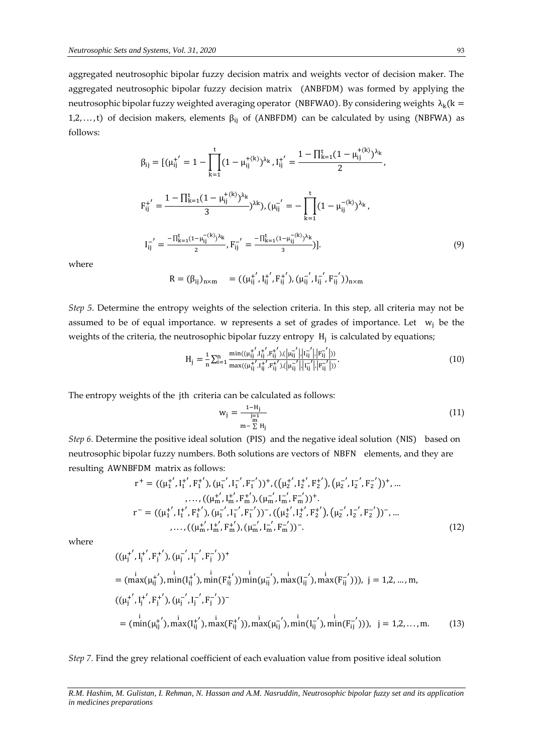aggregated neutrosophic bipolar fuzzy decision matrix and weights vector of decision maker. The aggregated neutrosophic bipolar fuzzy decision matrix (ANBFDM) was formed by applying the neutrosophic bipolar fuzzy weighted averaging operator (NBFWAO). By considering weights  $\lambda_k$ (k = 1,2,..., t) of decision makers, elements  $\beta_{ij}$  of (ANBFDM) can be calculated by using (NBFWA) as follows:

$$
\beta_{ij} = [(\mu_{ij}^{+'} = 1 - \prod_{k=1}^{t} (1 - \mu_{ij}^{+(k)})^{\lambda_k}, I_{ij}^{+'} = \frac{1 - \prod_{k=1}^{t} (1 - \mu_{ij}^{+(k)})^{\lambda_k}}{2},
$$
\n
$$
F_{ij}^{+'} = \frac{1 - \prod_{k=1}^{t} (1 - \mu_{ij}^{+(k)})^{\lambda_k}}{3})^{\lambda_k}, (\mu_{ij}^{-'} = -\prod_{k=1}^{t} (1 - \mu_{ij}^{-(k)})^{\lambda_k},
$$
\n
$$
I_{ij}^{-'} = \frac{-\prod_{k=1}^{t} (1 - \mu_{ij}^{-(k)})^{\lambda_k}}{2}, F_{ij}^{-'} = \frac{-\prod_{k=1}^{t} (1 - \mu_{ij}^{-(k)})^{\lambda_k}}{3})].
$$
\n(9)

where

$$
R = (\beta_{ij})_{n \times m} = ((\mu_{ij}^{+'}, I_{ij}^{+'}, F_{ij}^{+'}), (\mu_{ij}^{-'}, I_{ij}^{-'}, F_{ij}^{-'}))_{n \times m}
$$

*Step 5.* Determine the entropy weights of the selection criteria. In this step, all criteria may not be assumed to be of equal importance. w represents a set of grades of importance. Let  $w_i$  be the weights of the criteria, the neutrosophic bipolar fuzzy entropy  $H_j$  is calculated by equations;

$$
H_{j} = \frac{1}{n} \sum_{i=1}^{n} \frac{\min((\mu_{ij}^{+'} , I_{ij}^{+'} , F_{ij}^{+'}), (\vert \mu_{ij}^{-'} \vert, \vert I_{ij}^{-'} \vert, \vert F_{ij}^{-'} \vert))}{\max((\mu_{ij}^{+'} , I_{ij}^{+'} , F_{ij}^{+'}), (\vert \mu_{ij}^{-'} \vert, \vert I_{ij}^{-'} \vert, \vert F_{ij}^{-'} \vert))}.
$$
(10)

The entropy weights of the jth criteria can be calculated as follows:

$$
w_j = \frac{1 - H_j}{\frac{j-1}{m}} \tag{11}
$$

*Step 6.* Determine the positive ideal solution (PIS) and the negative ideal solution (NIS) based on neutrosophic bipolar fuzzy numbers. Both solutions are vectors of NBFN elements, and they are resulting AWNBFDM matrix as follows:

$$
r^{+} = ((\mu_{1}^{+'}, I_{1}^{+'}, F_{1}^{+'}), (\mu_{1}^{-'}, I_{1}^{-'}, F_{1}^{-'}))^+, ((\mu_{2}^{+'}, I_{2}^{+'}, F_{2}^{+'}), (\mu_{2}^{-'}, I_{2}^{-'}, F_{2}^{-'}))^+, ...
$$
  
\n
$$
..., ((\mu_{m}^{+'}, I_{m}^{+'}, F_{m}^{+'}), (\mu_{m}^{-'}, I_{m}^{-'}, F_{m}^{-'}))^+.
$$
  
\n
$$
r^{-} = ((\mu_{1}^{+'}, I_{1}^{+'}, F_{1}^{+'}), (\mu_{1}^{-'}, I_{1}^{-}, F_{1}^{-'}))^- , ((\mu_{2}^{+'}, I_{2}^{+'}, F_{2}^{+'}), (\mu_{2}^{-'}, I_{2}^{-}, F_{2}^{-'}))^- , ...
$$
  
\n
$$
..., ((\mu_{m}^{+'}, I_{m}^{+'}, F_{m}^{+'}), (\mu_{m}^{-'}, I_{m}^{-}, F_{m}^{-'}))^-.
$$
\n(12)

where

$$
((\mu_j^{+'}, I_j^{+'}, F_j^{+'}), (\mu_j^{-'}, I_j^{-'}, F_j^{-'}))^+
$$
  
=  $(\max(\mu_{ij}^{+'}), \min(I_{ij}^{+'}), \min(F_{ij}^{+'}) )\min(\mu_{ij}^{-'}, \max(I_{ij}^{-'}, \max(F_{ij}^{-'})))$ ,  $j = 1, 2, ..., m$ ,  
 $((\mu_j^{+'}, I_j^{+'}, F_j^{+'}) , (\mu_j^{-'}, I_j^{-}, F_j^{-'}))^-$   
=  $(\min(\mu_{ij}^{+'}) , \min(\Pi_{ij}^{+'}) , \max(F_{ij}^{+'}) )$ ,  $\max(\mu_{ij}^{-'}, \min(I_{ij}^{-'}, \min(F_{ij}^{-'})))$ ,  $j = 1, 2, ..., m$ . (13)

*Step 7.* Find the grey relational coefficient of each evaluation value from positive ideal solution

*R.M. Hashim, M. Gulistan, I. Rehman, N. Hassan and A.M. Nasruddin, Neutrosophic bipolar fuzzy set and its application in medicines preparations*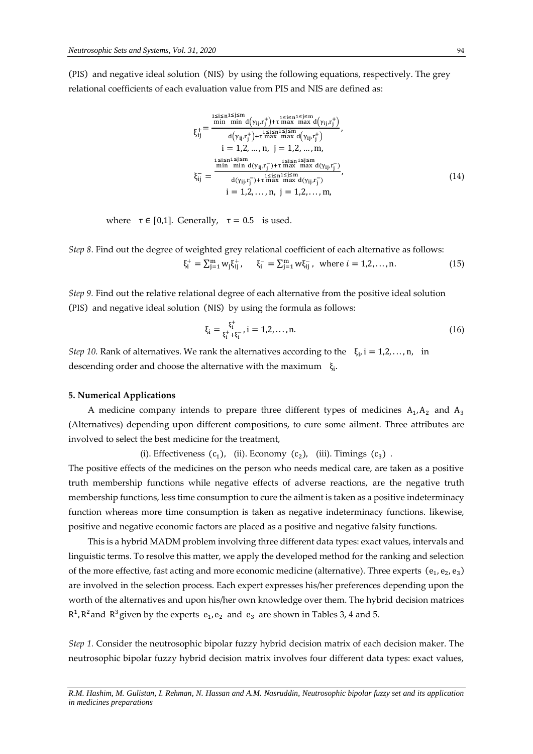(PIS) and negative ideal solution (NIS) by using the following equations, respectively. The grey relational coefficients of each evaluation value from PIS and NIS are defined as:

$$
\xi_{ij}^{i} = \frac{\sum_{j=1}^{1 \le i \le n} a(\gamma_{ij}.r_j^+) + \sum_{j=1}^{1 \le i \le n} a(\gamma_{ij}.r_j^+)}{a(\gamma_{ij}.r_j^+) + \sum_{j=1}^{1 \le i \le n} a(\gamma_{ij}.r_j^+)}},
$$
\n
$$
i = 1, 2, ..., n, j = 1, 2, ..., m,
$$
\n
$$
\xi_{ij}^{i} = \frac{\sum_{j=1}^{1 \le i \le n} a(\gamma_{ij}.r_j^-) + \sum_{j=1}^{1 \le i \le n} a(\gamma_{ij}.r_j^-)}{a(\gamma_{ij}.r_j^-) + \sum_{j=1}^{1 \le i \le n} a(\gamma_{ij}.r_j^-)}},
$$
\n
$$
i = 1, 2, ..., n, j = 1, 2, ..., m,
$$
\n(14)

where  $\tau \in [0,1]$ . Generally,  $\tau = 0.5$  is used.

*Step 8*. Find out the degree of weighted grey relational coefficient of each alternative as follows:  $\xi_i^+ = \sum_{j=1}^m w_j \xi_{ij}^+$ ,  $\xi_i^- = \sum_{j=1}^m w \xi_{ij}^-$ , where  $i = 1, 2, ..., n$ . (15)

*Step 9.* Find out the relative relational degree of each alternative from the positive ideal solution (PIS) and negative ideal solution (NIS) by using the formula as follows:

$$
\xi_{i} = \frac{\xi_{i}^{+}}{\xi_{i}^{+} + \xi_{i}^{-}}, i = 1, 2, ..., n.
$$
 (16)

*Step* 10. Rank of alternatives. We rank the alternatives according to the  $\xi_i$ , i = 1,2, ..., n, in descending order and choose the alternative with the maximum  $\zeta_i$ .

#### **5. Numerical Applications**

A medicine company intends to prepare three different types of medicines  $A_1, A_2$  and  $A_3$ (Alternatives) depending upon different compositions, to cure some ailment. Three attributes are involved to select the best medicine for the treatment,

(i). Effectiveness  $(c_1)$ , (ii). Economy  $(c_2)$ , (iii). Timings  $(c_3)$ .

The positive effects of the medicines on the person who needs medical care, are taken as a positive truth membership functions while negative effects of adverse reactions, are the negative truth membership functions, less time consumption to cure the ailment is taken as a positive indeterminacy function whereas more time consumption is taken as negative indeterminacy functions. likewise, positive and negative economic factors are placed as a positive and negative falsity functions.

This is a hybrid MADM problem involving three different data types: exact values, intervals and linguistic terms. To resolve this matter, we apply the developed method for the ranking and selection of the more effective, fast acting and more economic medicine (alternative). Three experts  $(e_1, e_2, e_3)$ are involved in the selection process. Each expert expresses his/her preferences depending upon the worth of the alternatives and upon his/her own knowledge over them. The hybrid decision matrices  $R<sup>1</sup>$ ,  $R<sup>2</sup>$  and  $R<sup>3</sup>$  given by the experts  $e_1$ ,  $e_2$  and  $e_3$  are shown in Tables 3, 4 and 5.

*Step 1.* Consider the neutrosophic bipolar fuzzy hybrid decision matrix of each decision maker. The neutrosophic bipolar fuzzy hybrid decision matrix involves four different data types: exact values,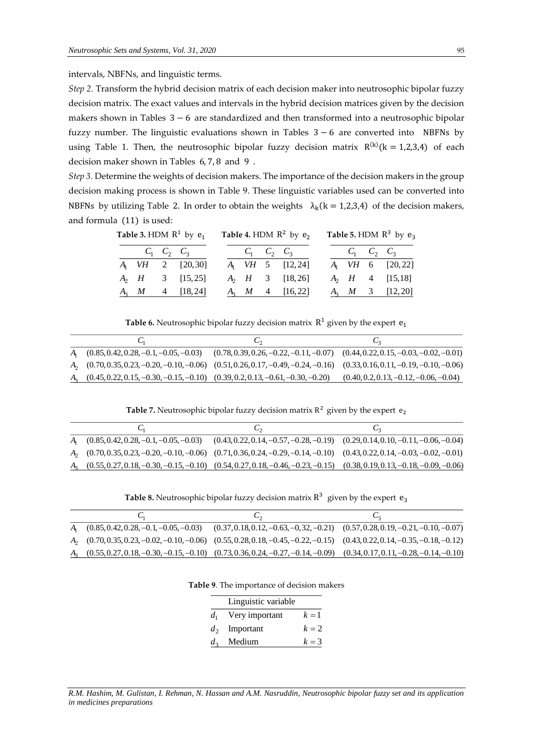intervals, NBFNs, and linguistic terms.

*Step 2.* Transform the hybrid decision matrix of each decision maker into neutrosophic bipolar fuzzy decision matrix. The exact values and intervals in the hybrid decision matrices given by the decision makers shown in Tables 3− 6 are standardized and then transformed into a neutrosophic bipolar fuzzy number. The linguistic evaluations shown in Tables 3− 6 are converted into NBFNs by using Table 1. Then, the neutrosophic bipolar fuzzy decision matrix  $R^{(k)}$ (k = 1,2,3,4) of each decision maker shown in Tables 6, 7, 8 and 9 .

*Step 3.* Determine the weights of decision makers. The importance of the decision makers in the group decision making process is shown in Table 9. These linguistic variables used can be converted into NBFNs by utilizing Table 2. In order to obtain the weights  $\lambda_k$ (k = 1,2,3,4) of the decision makers, and formula (11) is used:

|  | Table 3. HDM $R^1$ by $e_1$ | Table 4. HDM $R^2$ by $e_2$ |  |  |                          | Table 5. HDM $R^3$ by $e_3$ |                          |
|--|-----------------------------|-----------------------------|--|--|--------------------------|-----------------------------|--------------------------|
|  | $C_1$ $C_2$ $C_3$           |                             |  |  | $C_1$ $C_2$ $C_3$        |                             | $C_1$ $C_2$ $C_3$        |
|  | $A_1$ VH 2 [20,30]          |                             |  |  | $A_1$ VH 5 [12,24]       |                             | $A_1$ VH 6 [20,22]       |
|  | $A_2$ <i>H</i> 3 [15,25]    |                             |  |  | $A_2$ <i>H</i> 3 [18,26] |                             | $A_2$ <i>H</i> 4 [15,18] |
|  | $A_3$ <i>M</i> 4 [18,24]    |                             |  |  | $A_3$ <i>M</i> 4 [16,22] |                             | $A_3$ <i>M</i> 3 [12,20] |

**Table 6.** Neutrosophic bipolar fuzzy decision matrix  $R^1$  given by the expert  $e_1$ 

|                                                                                                                                     | $\mathsf{C}_{2}$ | $\mathsf{C}_2$                           |
|-------------------------------------------------------------------------------------------------------------------------------------|------------------|------------------------------------------|
| $A_1$ $(0.85, 0.42, 0.28, -0.1, -0.05, -0.03)$ $(0.78, 0.39, 0.26, -0.22, -0.11, -0.07)$ $(0.44, 0.22, 0.15, -0.03, -0.02, -0.01)$  |                  |                                          |
| $A_2$ $(0.70, 0.35, 0.23, -0.20, -0.10, -0.06)$ $(0.51, 0.26, 0.17, -0.49, -0.24, -0.16)$ $(0.33, 0.16, 0.11, -0.19, -0.10, -0.06)$ |                  |                                          |
| $A_3$ $(0.45, 0.22, 0.15, -0.30, -0.15, -0.10)$ $(0.39, 0.2, 0.13, -0.61, -0.30, -0.20)$                                            |                  | $(0.40, 0.2, 0.13, -0.12, -0.06, -0.04)$ |

**Table 7.** Neutrosophic bipolar fuzzy decision matrix  $R^2$  given by the expert  $e_2$ 

|                                                                                                                                     | U2 |
|-------------------------------------------------------------------------------------------------------------------------------------|----|
| $A_1$ $(0.85, 0.42, 0.28, -0.1, -0.05, -0.03)$ $(0.43, 0.22, 0.14, -0.57, -0.28, -0.19)$ $(0.29, 0.14, 0.10, -0.11, -0.06, -0.04)$  |    |
| $A_2$ $(0.70, 0.35, 0.23, -0.20, -0.10, -0.06)$ $(0.71, 0.36, 0.24, -0.29, -0.14, -0.10)$ $(0.43, 0.22, 0.14, -0.03, -0.02, -0.01)$ |    |
| $A_3$ $(0.55, 0.27, 0.18, -0.30, -0.15, -0.10)$ $(0.54, 0.27, 0.18, -0.46, -0.23, -0.15)$ $(0.38, 0.19, 0.13, -0.18, -0.09, -0.06)$ |    |

**Table 8.** Neutrosophic bipolar fuzzy decision matrix  $R^3$  given by the expert  $e_3$ 

| ı,<br>◡◠                                                                                                                            |  |
|-------------------------------------------------------------------------------------------------------------------------------------|--|
| $A_1$ $(0.85, 0.42, 0.28, -0.1, -0.05, -0.03)$ $(0.37, 0.18, 0.12, -0.63, -0.32, -0.21)$ $(0.57, 0.28, 0.19, -0.21, -0.10, -0.07)$  |  |
| $A_2$ $(0.70, 0.35, 0.23, -0.02, -0.10, -0.06)$ $(0.55, 0.28, 0.18, -0.45, -0.22, -0.15)$ $(0.43, 0.22, 0.14, -0.35, -0.18, -0.12)$ |  |
| $A_3$ $(0.55, 0.27, 0.18, -0.30, -0.15, -0.10)$ $(0.73, 0.36, 0.24, -0.27, -0.14, -0.09)$ $(0.34, 0.17, 0.11, -0.28, -0.14, -0.10)$ |  |
|                                                                                                                                     |  |

**Table 9**. The importance of decision makers

|         | Linguistic variable |       |
|---------|---------------------|-------|
| $d_1$   | Very important      | $k=1$ |
|         | $d_2$ Important     | $k=2$ |
| $d_{3}$ | Medium              | $k=3$ |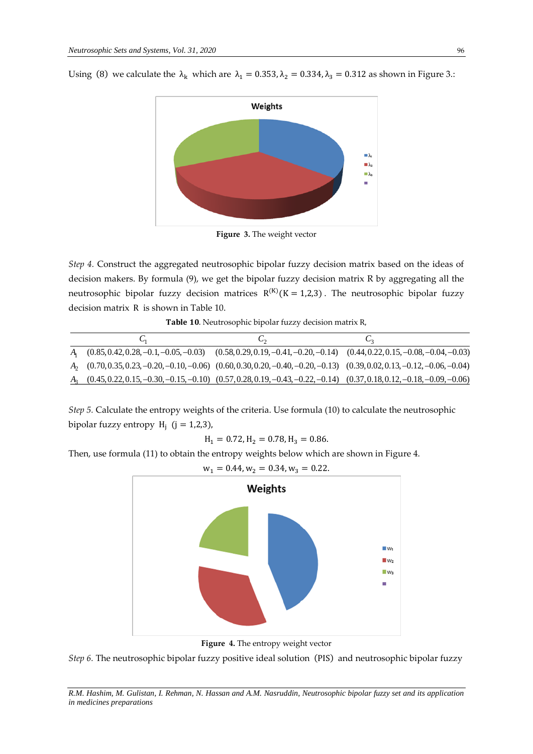Using (8) we calculate the  $\lambda_k$  which are  $\lambda_1 = 0.353$ ,  $\lambda_2 = 0.334$ ,  $\lambda_3 = 0.312$  as shown in Figure 3.:



**Figure 3.** The weight vector

*Step 4.* Construct the aggregated neutrosophic bipolar fuzzy decision matrix based on the ideas of decision makers. By formula (9), we get the bipolar fuzzy decision matrix R by aggregating all the neutrosophic bipolar fuzzy decision matrices  $R^{(K)}(K = 1,2,3)$ . The neutrosophic bipolar fuzzy decision matrix R is shown in Table 10.

Table 10. Neutrosophic bipolar fuzzy decision matrix R,

|  | しっ                                                                                                                                  | U2 |
|--|-------------------------------------------------------------------------------------------------------------------------------------|----|
|  | $A_1$ $(0.85, 0.42, 0.28, -0.1, -0.05, -0.03)$ $(0.58, 0.29, 0.19, -0.41, -0.20, -0.14)$ $(0.44, 0.22, 0.15, -0.08, -0.04, -0.03)$  |    |
|  | $A_2$ $(0.70, 0.35, 0.23, -0.20, -0.10, -0.06)$ $(0.60, 0.30, 0.20, -0.40, -0.20, -0.13)$ $(0.39, 0.02, 0.13, -0.12, -0.06, -0.04)$ |    |
|  | $A_3$ $(0.45, 0.22, 0.15, -0.30, -0.15, -0.10)$ $(0.57, 0.28, 0.19, -0.43, -0.22, -0.14)$ $(0.37, 0.18, 0.12, -0.18, -0.09, -0.06)$ |    |

*Step 5.* Calculate the entropy weights of the criteria. Use formula (10) to calculate the neutrosophic bipolar fuzzy entropy  $H_i$  (j = 1,2,3),

$$
H_1 = 0.72, H_2 = 0.78, H_3 = 0.86.
$$

Then, use formula (11) to obtain the entropy weights below which are shown in Figure 4.



**Figure 4.** The entropy weight vector

*Step 6.* The neutrosophic bipolar fuzzy positive ideal solution (PIS) and neutrosophic bipolar fuzzy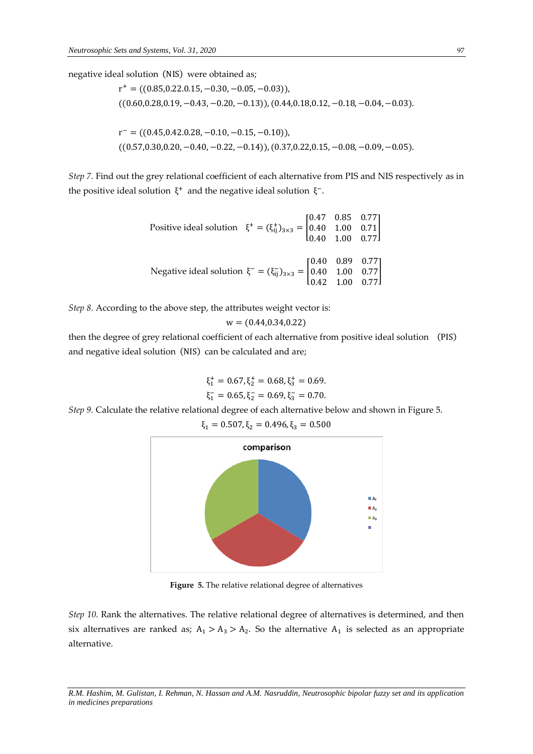negative ideal solution (NIS) were obtained as;

 $r^+ = ((0.85, 0.22, 0.15, -0.30, -0.05, -0.03)),$  $((0.60, 0.28, 0.19, -0.43, -0.20, -0.13)), (0.44, 0.18, 0.12, -0.18, -0.04, -0.03).$  $r^- = ((0.45, 0.42, 0.28, -0.10, -0.15, -0.10)),$  $((0.57,0.30,0.20,-0.40,-0.22,-0.14)), (0.37,0.22,0.15,-0.08,-0.09,-0.05).$ 

*Step 7.* Find out the grey relational coefficient of each alternative from PIS and NIS respectively as in the positive ideal solution  $\xi^+$  and the negative ideal solution  $\xi^-$ .

> Positive ideal solution  $\xi^+ = (\xi_{ij}^+)_{3\times 3} =$ 0.47 0.85 0.77 0.40 1.00 0.71 0.40 1.00 0.77 ] Negative ideal solution  $\xi^- = (\xi_{ij}^-)_{3 \times 3} =$ 0.40 0.89 0.77 0.40 1.00 0.77 0.42 1.00 0.77 ]

*Step 8.* According to the above step, the attributes weight vector is:

$$
w = (0.44, 0.34, 0.22)
$$

then the degree of grey relational coefficient of each alternative from positive ideal solution (PIS) and negative ideal solution (NIS) can be calculated and are;

$$
\xi_1^+ = 0.67, \xi_2^+ = 0.68, \xi_3^+ = 0.69.
$$
  

$$
\xi_1^- = 0.65, \xi_2^- = 0.69, \xi_3^- = 0.70.
$$

*Step 9.* Calculate the relative relational degree of each alternative below and shown in Figure 5.

 $\xi_1 = 0.507, \xi_2 = 0.496, \xi_3 = 0.500$ comparison  $\blacksquare$  A  $\blacksquare$  A  $\blacksquare$  As

**Figure 5.** The relative relational degree of alternatives

*Step 10.* Rank the alternatives. The relative relational degree of alternatives is determined, and then six alternatives are ranked as;  $A_1 > A_3 > A_2$ . So the alternative  $A_1$  is selected as an appropriate alternative.

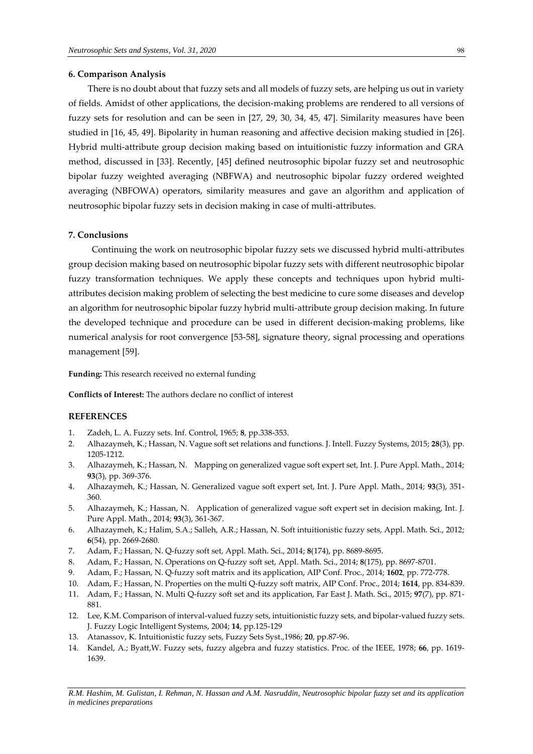### **6. Comparison Analysis**

There is no doubt about that fuzzy sets and all models of fuzzy sets, are helping us out in variety of fields. Amidst of other applications, the decision-making problems are rendered to all versions of fuzzy sets for resolution and can be seen in [27, 29, 30, 34, 45, 47]. Similarity measures have been studied in [16, 45, 49]. Bipolarity in human reasoning and affective decision making studied in [26]. Hybrid multi-attribute group decision making based on intuitionistic fuzzy information and GRA method, discussed in [33]. Recently, [45] defined neutrosophic bipolar fuzzy set and neutrosophic bipolar fuzzy weighted averaging (NBFWA) and neutrosophic bipolar fuzzy ordered weighted averaging (NBFOWA) operators, similarity measures and gave an algorithm and application of neutrosophic bipolar fuzzy sets in decision making in case of multi-attributes.

# **7. Conclusions**

Continuing the work on neutrosophic bipolar fuzzy sets we discussed hybrid multi-attributes group decision making based on neutrosophic bipolar fuzzy sets with different neutrosophic bipolar fuzzy transformation techniques. We apply these concepts and techniques upon hybrid multiattributes decision making problem of selecting the best medicine to cure some diseases and develop an algorithm for neutrosophic bipolar fuzzy hybrid multi-attribute group decision making. In future the developed technique and procedure can be used in different decision-making problems, like numerical analysis for root convergence [53-58], signature theory, signal processing and operations management [59].

**Funding:** This research received no external funding

**Conflicts of Interest:** The authors declare no conflict of interest

# **REFERENCES**

- 1. Zadeh, L. A. Fuzzy sets. Inf. Control, 1965; **8**, pp.338-353.
- 2. Alhazaymeh, K.; Hassan, N. Vague soft set relations and functions. J. Intell. Fuzzy Systems, 2015; **28**(3), pp. 1205-1212.
- 3. Alhazaymeh, K.; Hassan, N. Mapping on generalized vague soft expert set, Int. J. Pure Appl. Math., 2014; **93**(3), pp. 369-376.
- 4. Alhazaymeh, K.; Hassan, N. Generalized vague soft expert set, Int. J. Pure Appl. Math., 2014; **93**(3), 351- 360.
- 5. Alhazaymeh, K.; Hassan, N. Application of generalized vague soft expert set in decision making, Int. J. Pure Appl. Math., 2014; **93**(3), 361-367.
- 6. Alhazaymeh, K.; Halim, S.A.; Salleh, A.R.; Hassan, N. Soft intuitionistic fuzzy sets, Appl. Math. Sci., 2012; **6**(54), pp. 2669-2680.
- 7. Adam, F.; Hassan, N. Q-fuzzy soft set, Appl. Math. Sci., 2014; **8**(174), pp. 8689-8695.
- 8. Adam, F.; Hassan, N. Operations on Q-fuzzy soft set, Appl. Math. Sci., 2014; **8**(175), pp. 8697-8701.
- 9. Adam, F.; Hassan, N. Q-fuzzy soft matrix and its application, AIP Conf. Proc., 2014; **1602**, pp. 772-778.
- 10. Adam, F.; Hassan, N. Properties on the multi Q-fuzzy soft matrix, AIP Conf. Proc., 2014; **1614**, pp. 834-839.
- 11. Adam, F.; Hassan, N. Multi Q-fuzzy soft set and its application, Far East J. Math. Sci., 2015; **97**(7), pp. 871- 881.
- 12. Lee, K.M. Comparison of interval-valued fuzzy sets, intuitionistic fuzzy sets, and bipolar-valued fuzzy sets. J. Fuzzy Logic Intelligent Systems, 2004; **14**, pp.125-129
- 13. Atanassov, K. Intuitionistic fuzzy sets, Fuzzy Sets Syst.,1986; **20**, pp.87-96.
- 14. Kandel, A.; Byatt,W. Fuzzy sets, fuzzy algebra and fuzzy statistics. Proc. of the IEEE, 1978; **66**, pp. 1619- 1639.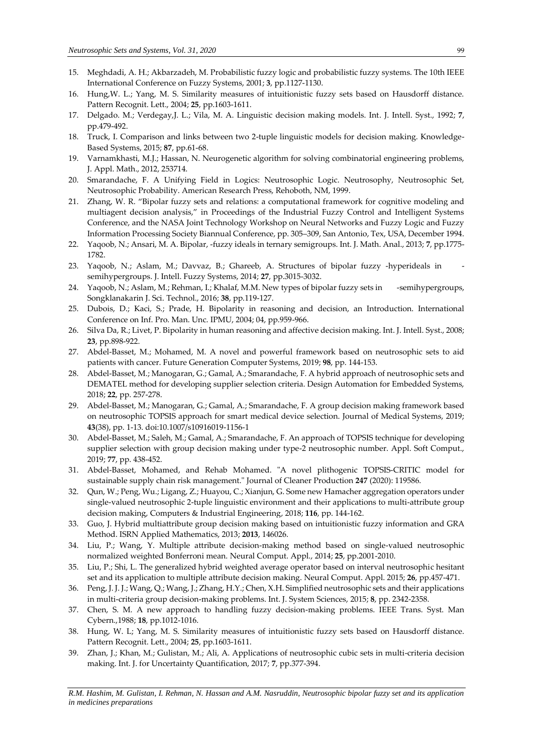- 15. Meghdadi, A. H.; Akbarzadeh, M. Probabilistic fuzzy logic and probabilistic fuzzy systems. The 10th IEEE International Conference on Fuzzy Systems, 2001; **3**, pp.1127-1130.
- 16. Hung,W. L.; Yang, M. S. Similarity measures of intuitionistic fuzzy sets based on Hausdorff distance. Pattern Recognit. Lett., 2004; **25**, pp.1603-1611.
- 17. Delgado. M.; Verdegay,J. L.; Vila, M. A. Linguistic decision making models. Int. J. Intell. Syst., 1992; **7**, pp.479-492.
- 18. Truck, I. Comparison and links between two 2-tuple linguistic models for decision making. Knowledge-Based Systems, 2015; **87**, pp.61-68.
- 19. Varnamkhasti, M.J.; Hassan, N. Neurogenetic algorithm for solving combinatorial engineering problems, J. Appl. Math., 2012, 253714.
- 20. Smarandache, F. A Unifying Field in Logics: Neutrosophic Logic. Neutrosophy, Neutrosophic Set, Neutrosophic Probability. American Research Press, Rehoboth, NM, 1999.
- 21. Zhang, W. R. "Bipolar fuzzy sets and relations: a computational framework for cognitive modeling and multiagent decision analysis," in Proceedings of the Industrial Fuzzy Control and Intelligent Systems Conference, and the NASA Joint Technology Workshop on Neural Networks and Fuzzy Logic and Fuzzy Information Processing Society Biannual Conference, pp. 305–309, San Antonio, Tex, USA, December 1994.
- 22. Yaqoob, N.; Ansari, M. A. Bipolar, -fuzzy ideals in ternary semigroups. Int. J. Math. Anal., 2013; **7**, pp.1775- 1782.
- 23. Yaqoob, N.; Aslam, M.; Davvaz, B.; Ghareeb, A. Structures of bipolar fuzzy -hyperideals in semihypergroups. J. Intell. Fuzzy Systems, 2014; **27**, pp.3015-3032.
- 24. Yaqoob, N.; Aslam, M.; Rehman, I.; Khalaf, M.M. New types of bipolar fuzzy sets in -semihypergroups, Songklanakarin J. Sci. Technol., 2016; **38**, pp.119-127.
- 25. Dubois, D.; Kaci, S.; Prade, H. Bipolarity in reasoning and decision, an Introduction. International Conference on Inf. Pro. Man. Unc. IPMU, 2004; 04, pp.959-966.
- 26. Silva Da, R.; Livet, P. Bipolarity in human reasoning and affective decision making. Int. J. Intell. Syst., 2008; **23**, pp.898-922.
- 27. Abdel-Basset, M.; Mohamed, M. A novel and powerful framework based on neutrosophic sets to aid patients with cancer. Future Generation Computer Systems, 2019; **98**, pp. 144-153.
- 28. Abdel-Basset, M.; Manogaran, G.; Gamal, A.; Smarandache, F. A hybrid approach of neutrosophic sets and DEMATEL method for developing supplier selection criteria. Design Automation for Embedded Systems, 2018; **22**, pp. 257-278.
- 29. Abdel-Basset, M.; Manogaran, G.; Gamal, A.; Smarandache, F. A group decision making framework based on neutrosophic TOPSIS approach for smart medical device selection. Journal of Medical Systems, 2019; **43**(38), pp. 1-13. doi:10.1007/s10916019-1156-1
- 30. Abdel-Basset, M.; Saleh, M.; Gamal, A.; Smarandache, F. An approach of TOPSIS technique for developing supplier selection with group decision making under type-2 neutrosophic number. Appl. Soft Comput., 2019; **77**, pp. 438-452.
- 31. Abdel-Basset, Mohamed, and Rehab Mohamed. "A novel plithogenic TOPSIS-CRITIC model for sustainable supply chain risk management." Journal of Cleaner Production **247** (2020): 119586.
- 32. Qun, W.; Peng, Wu.; Ligang, Z.; Huayou, C.; Xianjun, G. Some new Hamacher aggregation operators under single-valued neutrosophic 2-tuple linguistic environment and their applications to multi-attribute group decision making, Computers & Industrial Engineering, 2018; **116**, pp. 144-162.
- 33. Guo, J. Hybrid multiattribute group decision making based on intuitionistic fuzzy information and GRA Method. ISRN Applied Mathematics, 2013; **2013**, 146026.
- 34. Liu, P.; Wang, Y. Multiple attribute decision-making method based on single-valued neutrosophic normalized weighted Bonferroni mean. Neural Comput. Appl., 2014; **25**, pp.2001-2010.
- 35. Liu, P.; Shi, L. The generalized hybrid weighted average operator based on interval neutrosophic hesitant set and its application to multiple attribute decision making. Neural Comput. Appl. 2015; **26**, pp.457-471.
- 36. Peng, J. J. J.; Wang, Q.; Wang, J.; Zhang, H.Y.; Chen, X.H. Simplified neutrosophic sets and their applications in multi-criteria group decision-making problems. Int. J. System Sciences, 2015; **8**, pp. 2342-2358.
- 37. Chen, S. M. A new approach to handling fuzzy decision-making problems. IEEE Trans. Syst. Man Cybern.,1988; **18**, pp.1012-1016.
- 38. Hung, W. L; Yang, M. S. Similarity measures of intuitionistic fuzzy sets based on Hausdorff distance. Pattern Recognit. Lett., 2004; **25**, pp.1603-1611.
- 39. Zhan, J.; Khan, M.; Gulistan, M.; Ali, A. Applications of neutrosophic cubic sets in multi-criteria decision making. Int. J. for Uncertainty Quantification, 2017; **7**, pp.377-394.